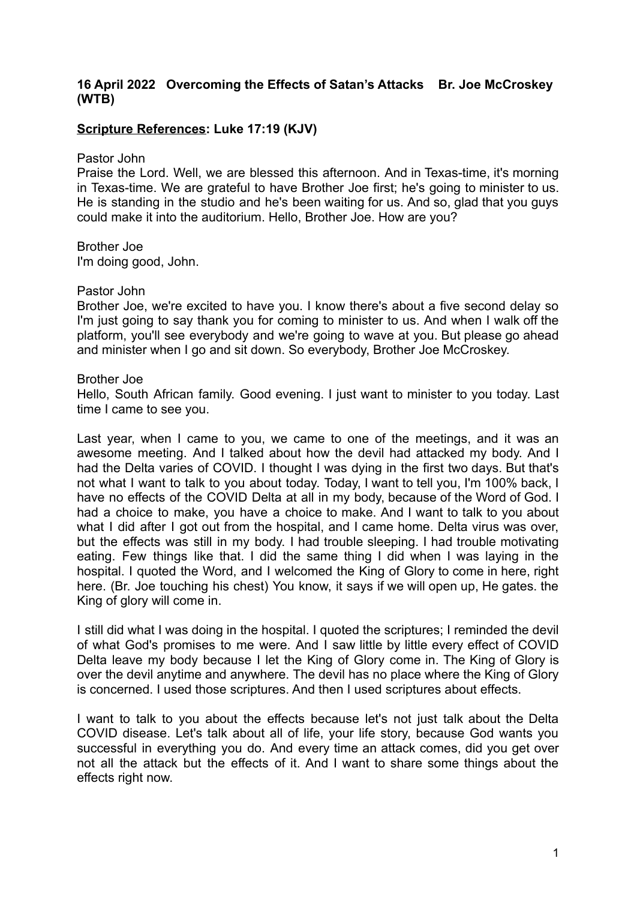## **16 April 2022 Overcoming the Effects of Satan's Attacks Br. Joe McCroskey (WTB)**

## **Scripture References: Luke 17:19 (KJV)**

Pastor John

Praise the Lord. Well, we are blessed this afternoon. And in Texas-time, it's morning in Texas-time. We are grateful to have Brother Joe first; he's going to minister to us. He is standing in the studio and he's been waiting for us. And so, glad that you guys could make it into the auditorium. Hello, Brother Joe. How are you?

Brother Joe I'm doing good, John.

## Pastor John

Brother Joe, we're excited to have you. I know there's about a five second delay so I'm just going to say thank you for coming to minister to us. And when I walk off the platform, you'll see everybody and we're going to wave at you. But please go ahead and minister when I go and sit down. So everybody, Brother Joe McCroskey.

## Brother Joe

Hello, South African family. Good evening. I just want to minister to you today. Last time I came to see you.

Last year, when I came to you, we came to one of the meetings, and it was an awesome meeting. And I talked about how the devil had attacked my body. And I had the Delta varies of COVID. I thought I was dying in the first two days. But that's not what I want to talk to you about today. Today, I want to tell you, I'm 100% back, I have no effects of the COVID Delta at all in my body, because of the Word of God. I had a choice to make, you have a choice to make. And I want to talk to you about what I did after I got out from the hospital, and I came home. Delta virus was over, but the effects was still in my body. I had trouble sleeping. I had trouble motivating eating. Few things like that. I did the same thing I did when I was laying in the hospital. I quoted the Word, and I welcomed the King of Glory to come in here, right here. (Br. Joe touching his chest) You know, it says if we will open up, He gates. the King of glory will come in.

I still did what I was doing in the hospital. I quoted the scriptures; I reminded the devil of what God's promises to me were. And I saw little by little every effect of COVID Delta leave my body because I let the King of Glory come in. The King of Glory is over the devil anytime and anywhere. The devil has no place where the King of Glory is concerned. I used those scriptures. And then I used scriptures about effects.

I want to talk to you about the effects because let's not just talk about the Delta COVID disease. Let's talk about all of life, your life story, because God wants you successful in everything you do. And every time an attack comes, did you get over not all the attack but the effects of it. And I want to share some things about the effects right now.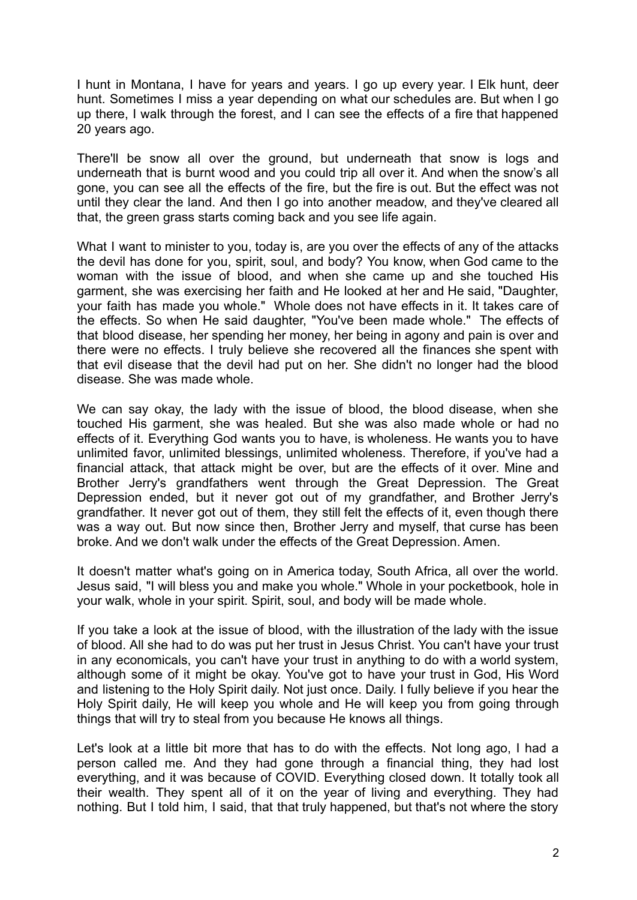I hunt in Montana, I have for years and years. I go up every year. I Elk hunt, deer hunt. Sometimes I miss a year depending on what our schedules are. But when I go up there, I walk through the forest, and I can see the effects of a fire that happened 20 years ago.

There'll be snow all over the ground, but underneath that snow is logs and underneath that is burnt wood and you could trip all over it. And when the snow's all gone, you can see all the effects of the fire, but the fire is out. But the effect was not until they clear the land. And then I go into another meadow, and they've cleared all that, the green grass starts coming back and you see life again.

What I want to minister to you, today is, are you over the effects of any of the attacks the devil has done for you, spirit, soul, and body? You know, when God came to the woman with the issue of blood, and when she came up and she touched His garment, she was exercising her faith and He looked at her and He said, "Daughter, your faith has made you whole." Whole does not have effects in it. It takes care of the effects. So when He said daughter, "You've been made whole." The effects of that blood disease, her spending her money, her being in agony and pain is over and there were no effects. I truly believe she recovered all the finances she spent with that evil disease that the devil had put on her. She didn't no longer had the blood disease. She was made whole.

We can say okay, the lady with the issue of blood, the blood disease, when she touched His garment, she was healed. But she was also made whole or had no effects of it. Everything God wants you to have, is wholeness. He wants you to have unlimited favor, unlimited blessings, unlimited wholeness. Therefore, if you've had a financial attack, that attack might be over, but are the effects of it over. Mine and Brother Jerry's grandfathers went through the Great Depression. The Great Depression ended, but it never got out of my grandfather, and Brother Jerry's grandfather. It never got out of them, they still felt the effects of it, even though there was a way out. But now since then, Brother Jerry and myself, that curse has been broke. And we don't walk under the effects of the Great Depression. Amen.

It doesn't matter what's going on in America today, South Africa, all over the world. Jesus said, "I will bless you and make you whole." Whole in your pocketbook, hole in your walk, whole in your spirit. Spirit, soul, and body will be made whole.

If you take a look at the issue of blood, with the illustration of the lady with the issue of blood. All she had to do was put her trust in Jesus Christ. You can't have your trust in any economicals, you can't have your trust in anything to do with a world system, although some of it might be okay. You've got to have your trust in God, His Word and listening to the Holy Spirit daily. Not just once. Daily. I fully believe if you hear the Holy Spirit daily, He will keep you whole and He will keep you from going through things that will try to steal from you because He knows all things.

Let's look at a little bit more that has to do with the effects. Not long ago, I had a person called me. And they had gone through a financial thing, they had lost everything, and it was because of COVID. Everything closed down. It totally took all their wealth. They spent all of it on the year of living and everything. They had nothing. But I told him, I said, that that truly happened, but that's not where the story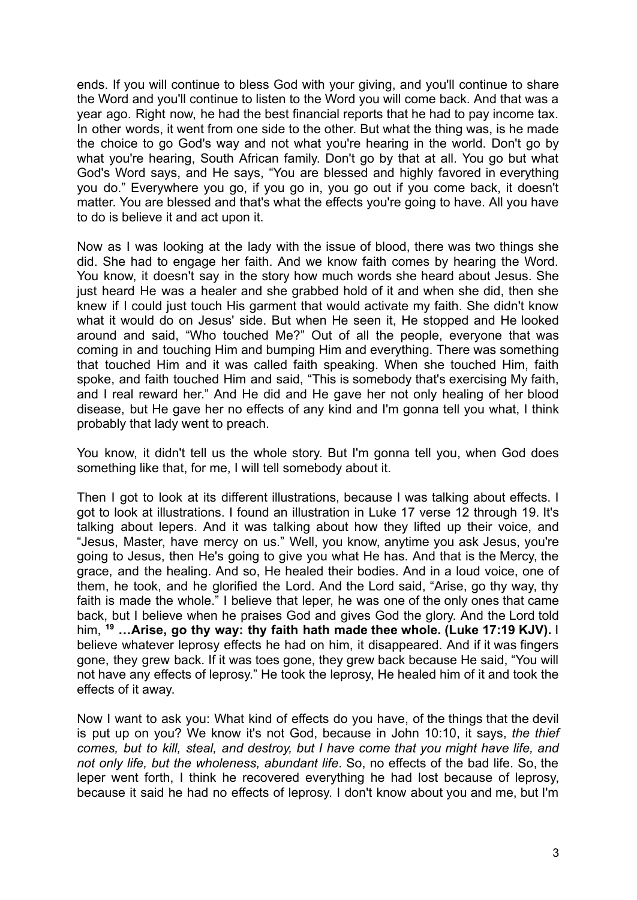ends. If you will continue to bless God with your giving, and you'll continue to share the Word and you'll continue to listen to the Word you will come back. And that was a year ago. Right now, he had the best financial reports that he had to pay income tax. In other words, it went from one side to the other. But what the thing was, is he made the choice to go God's way and not what you're hearing in the world. Don't go by what you're hearing, South African family. Don't go by that at all. You go but what God's Word says, and He says, "You are blessed and highly favored in everything you do." Everywhere you go, if you go in, you go out if you come back, it doesn't matter. You are blessed and that's what the effects you're going to have. All you have to do is believe it and act upon it.

Now as I was looking at the lady with the issue of blood, there was two things she did. She had to engage her faith. And we know faith comes by hearing the Word. You know, it doesn't say in the story how much words she heard about Jesus. She just heard He was a healer and she grabbed hold of it and when she did, then she knew if I could just touch His garment that would activate my faith. She didn't know what it would do on Jesus' side. But when He seen it, He stopped and He looked around and said, "Who touched Me?" Out of all the people, everyone that was coming in and touching Him and bumping Him and everything. There was something that touched Him and it was called faith speaking. When she touched Him, faith spoke, and faith touched Him and said, "This is somebody that's exercising My faith, and I real reward her." And He did and He gave her not only healing of her blood disease, but He gave her no effects of any kind and I'm gonna tell you what, I think probably that lady went to preach.

You know, it didn't tell us the whole story. But I'm gonna tell you, when God does something like that, for me, I will tell somebody about it.

Then I got to look at its different illustrations, because I was talking about effects. I got to look at illustrations. I found an illustration in Luke 17 verse 12 through 19. It's talking about lepers. And it was talking about how they lifted up their voice, and "Jesus, Master, have mercy on us." Well, you know, anytime you ask Jesus, you're going to Jesus, then He's going to give you what He has. And that is the Mercy, the grace, and the healing. And so, He healed their bodies. And in a loud voice, one of them, he took, and he glorified the Lord. And the Lord said, "Arise, go thy way, thy faith is made the whole." I believe that leper, he was one of the only ones that came back, but I believe when he praises God and gives God the glory. And the Lord told him, **<sup>19</sup> …Arise, go thy way: thy faith hath made thee whole. (Luke 17:19 KJV).** I believe whatever leprosy effects he had on him, it disappeared. And if it was fingers gone, they grew back. If it was toes gone, they grew back because He said, "You will not have any effects of leprosy." He took the leprosy, He healed him of it and took the effects of it away.

Now I want to ask you: What kind of effects do you have, of the things that the devil is put up on you? We know it's not God, because in John 10:10, it says, *the thief comes, but to kill, steal, and destroy, but I have come that you might have life, and not only life, but the wholeness, abundant life*. So, no effects of the bad life. So, the leper went forth, I think he recovered everything he had lost because of leprosy, because it said he had no effects of leprosy. I don't know about you and me, but I'm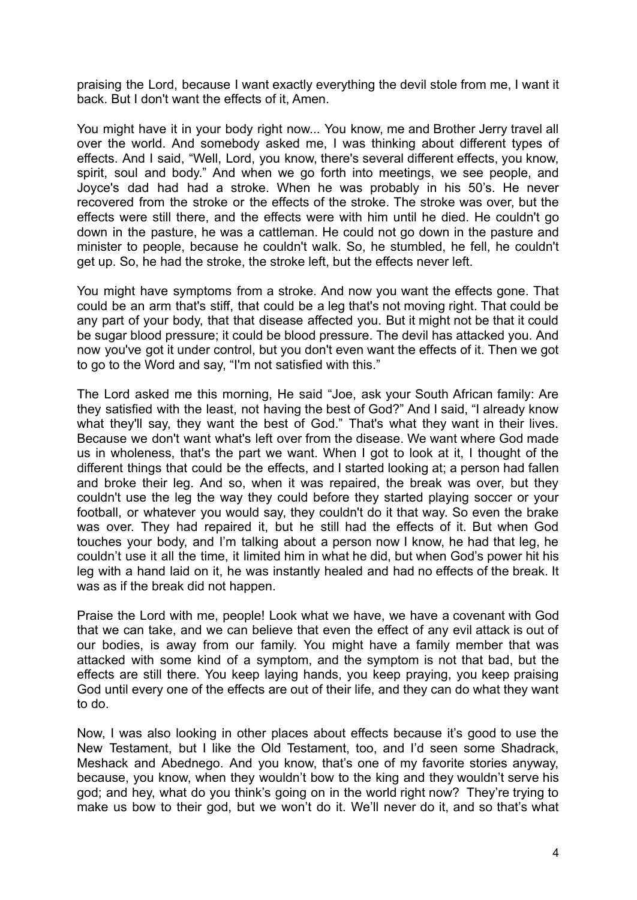praising the Lord, because I want exactly everything the devil stole from me, I want it back. But I don't want the effects of it, Amen.

You might have it in your body right now... You know, me and Brother Jerry travel all over the world. And somebody asked me, I was thinking about different types of effects. And I said, "Well, Lord, you know, there's several different effects, you know, spirit, soul and body." And when we go forth into meetings, we see people, and Joyce's dad had had a stroke. When he was probably in his 50's. He never recovered from the stroke or the effects of the stroke. The stroke was over, but the effects were still there, and the effects were with him until he died. He couldn't go down in the pasture, he was a cattleman. He could not go down in the pasture and minister to people, because he couldn't walk. So, he stumbled, he fell, he couldn't get up. So, he had the stroke, the stroke left, but the effects never left.

You might have symptoms from a stroke. And now you want the effects gone. That could be an arm that's stiff, that could be a leg that's not moving right. That could be any part of your body, that that disease affected you. But it might not be that it could be sugar blood pressure; it could be blood pressure. The devil has attacked you. And now you've got it under control, but you don't even want the effects of it. Then we got to go to the Word and say, "I'm not satisfied with this."

The Lord asked me this morning, He said "Joe, ask your South African family: Are they satisfied with the least, not having the best of God?" And I said, "I already know what they'll say, they want the best of God." That's what they want in their lives. Because we don't want what's left over from the disease. We want where God made us in wholeness, that's the part we want. When I got to look at it, I thought of the different things that could be the effects, and I started looking at; a person had fallen and broke their leg. And so, when it was repaired, the break was over, but they couldn't use the leg the way they could before they started playing soccer or your football, or whatever you would say, they couldn't do it that way. So even the brake was over. They had repaired it, but he still had the effects of it. But when God touches your body, and I'm talking about a person now I know, he had that leg, he couldn't use it all the time, it limited him in what he did, but when God's power hit his leg with a hand laid on it, he was instantly healed and had no effects of the break. It was as if the break did not happen.

Praise the Lord with me, people! Look what we have, we have a covenant with God that we can take, and we can believe that even the effect of any evil attack is out of our bodies, is away from our family. You might have a family member that was attacked with some kind of a symptom, and the symptom is not that bad, but the effects are still there. You keep laying hands, you keep praying, you keep praising God until every one of the effects are out of their life, and they can do what they want to do.

Now, I was also looking in other places about effects because it's good to use the New Testament, but I like the Old Testament, too, and I'd seen some Shadrack, Meshack and Abednego. And you know, that's one of my favorite stories anyway, because, you know, when they wouldn't bow to the king and they wouldn't serve his god; and hey, what do you think's going on in the world right now? They're trying to make us bow to their god, but we won't do it. We'll never do it, and so that's what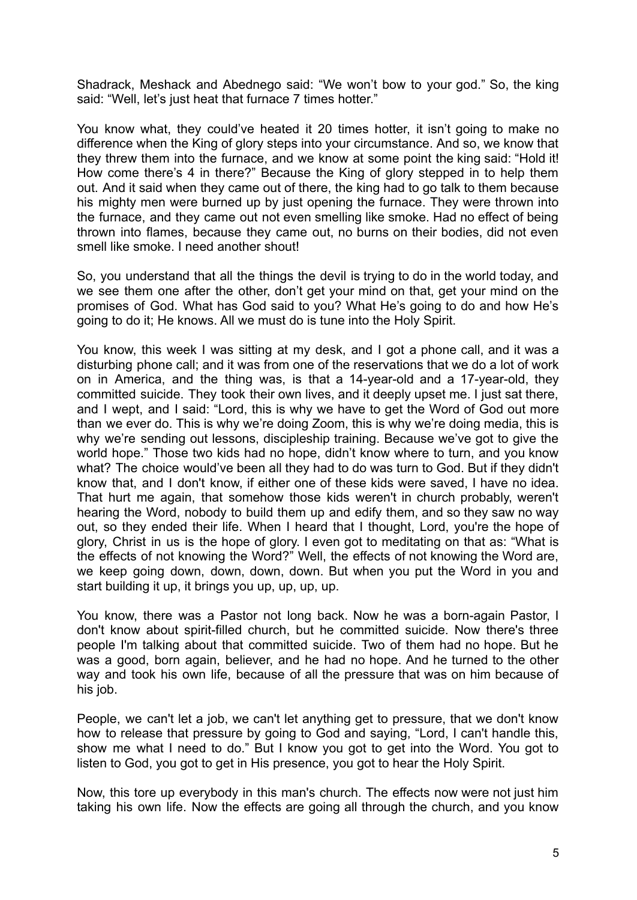Shadrack, Meshack and Abednego said: "We won't bow to your god." So, the king said: "Well, let's just heat that furnace 7 times hotter."

You know what, they could've heated it 20 times hotter, it isn't going to make no difference when the King of glory steps into your circumstance. And so, we know that they threw them into the furnace, and we know at some point the king said: "Hold it! How come there's 4 in there?" Because the King of glory stepped in to help them out. And it said when they came out of there, the king had to go talk to them because his mighty men were burned up by just opening the furnace. They were thrown into the furnace, and they came out not even smelling like smoke. Had no effect of being thrown into flames, because they came out, no burns on their bodies, did not even smell like smoke. I need another shout!

So, you understand that all the things the devil is trying to do in the world today, and we see them one after the other, don't get your mind on that, get your mind on the promises of God. What has God said to you? What He's going to do and how He's going to do it; He knows. All we must do is tune into the Holy Spirit.

You know, this week I was sitting at my desk, and I got a phone call, and it was a disturbing phone call; and it was from one of the reservations that we do a lot of work on in America, and the thing was, is that a 14-year-old and a 17-year-old, they committed suicide. They took their own lives, and it deeply upset me. I just sat there, and I wept, and I said: "Lord, this is why we have to get the Word of God out more than we ever do. This is why we're doing Zoom, this is why we're doing media, this is why we're sending out lessons, discipleship training. Because we've got to give the world hope." Those two kids had no hope, didn't know where to turn, and you know what? The choice would've been all they had to do was turn to God. But if they didn't know that, and I don't know, if either one of these kids were saved, I have no idea. That hurt me again, that somehow those kids weren't in church probably, weren't hearing the Word, nobody to build them up and edify them, and so they saw no way out, so they ended their life. When I heard that I thought, Lord, you're the hope of glory, Christ in us is the hope of glory. I even got to meditating on that as: "What is the effects of not knowing the Word?" Well, the effects of not knowing the Word are, we keep going down, down, down, down. But when you put the Word in you and start building it up, it brings you up, up, up, up.

You know, there was a Pastor not long back. Now he was a born-again Pastor, I don't know about spirit-filled church, but he committed suicide. Now there's three people I'm talking about that committed suicide. Two of them had no hope. But he was a good, born again, believer, and he had no hope. And he turned to the other way and took his own life, because of all the pressure that was on him because of his job.

People, we can't let a job, we can't let anything get to pressure, that we don't know how to release that pressure by going to God and saying, "Lord, I can't handle this, show me what I need to do." But I know you got to get into the Word. You got to listen to God, you got to get in His presence, you got to hear the Holy Spirit.

Now, this tore up everybody in this man's church. The effects now were not just him taking his own life. Now the effects are going all through the church, and you know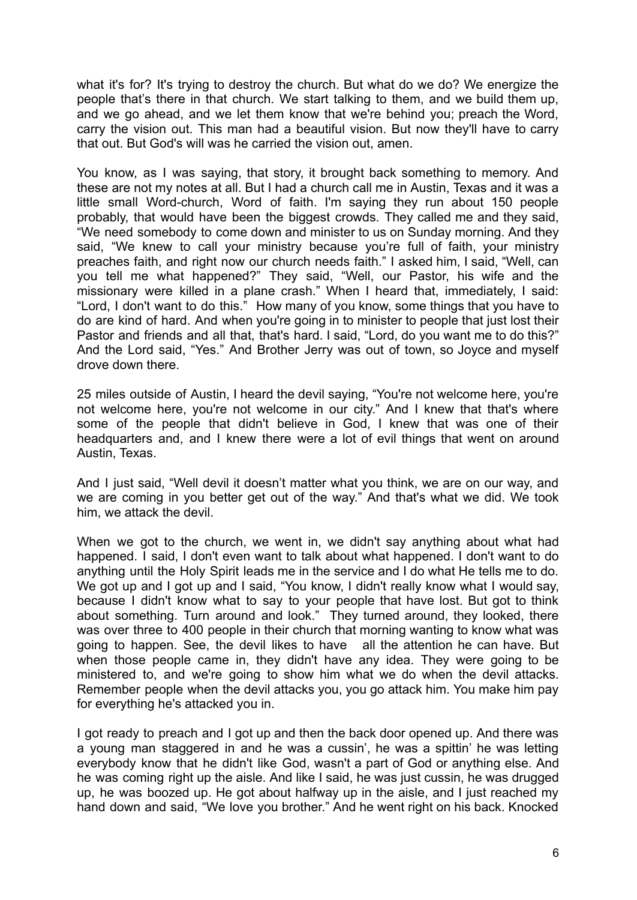what it's for? It's trying to destroy the church. But what do we do? We energize the people that's there in that church. We start talking to them, and we build them up, and we go ahead, and we let them know that we're behind you; preach the Word, carry the vision out. This man had a beautiful vision. But now they'll have to carry that out. But God's will was he carried the vision out, amen.

You know, as I was saying, that story, it brought back something to memory. And these are not my notes at all. But I had a church call me in Austin, Texas and it was a little small Word-church, Word of faith. I'm saying they run about 150 people probably, that would have been the biggest crowds. They called me and they said, "We need somebody to come down and minister to us on Sunday morning. And they said, "We knew to call your ministry because you're full of faith, your ministry preaches faith, and right now our church needs faith." I asked him, I said, "Well, can you tell me what happened?" They said, "Well, our Pastor, his wife and the missionary were killed in a plane crash." When I heard that, immediately, I said: "Lord, I don't want to do this." How many of you know, some things that you have to do are kind of hard. And when you're going in to minister to people that just lost their Pastor and friends and all that, that's hard. I said, "Lord, do you want me to do this?" And the Lord said, "Yes." And Brother Jerry was out of town, so Joyce and myself drove down there.

25 miles outside of Austin, I heard the devil saying, "You're not welcome here, you're not welcome here, you're not welcome in our city." And I knew that that's where some of the people that didn't believe in God, I knew that was one of their headquarters and, and I knew there were a lot of evil things that went on around Austin, Texas.

And I just said, "Well devil it doesn't matter what you think, we are on our way, and we are coming in you better get out of the way." And that's what we did. We took him, we attack the devil.

When we got to the church, we went in, we didn't say anything about what had happened. I said, I don't even want to talk about what happened. I don't want to do anything until the Holy Spirit leads me in the service and I do what He tells me to do. We got up and I got up and I said, "You know, I didn't really know what I would say, because I didn't know what to say to your people that have lost. But got to think about something. Turn around and look." They turned around, they looked, there was over three to 400 people in their church that morning wanting to know what was going to happen. See, the devil likes to have all the attention he can have. But when those people came in, they didn't have any idea. They were going to be ministered to, and we're going to show him what we do when the devil attacks. Remember people when the devil attacks you, you go attack him. You make him pay for everything he's attacked you in.

I got ready to preach and I got up and then the back door opened up. And there was a young man staggered in and he was a cussin', he was a spittin' he was letting everybody know that he didn't like God, wasn't a part of God or anything else. And he was coming right up the aisle. And like I said, he was just cussin, he was drugged up, he was boozed up. He got about halfway up in the aisle, and I just reached my hand down and said, "We love you brother." And he went right on his back. Knocked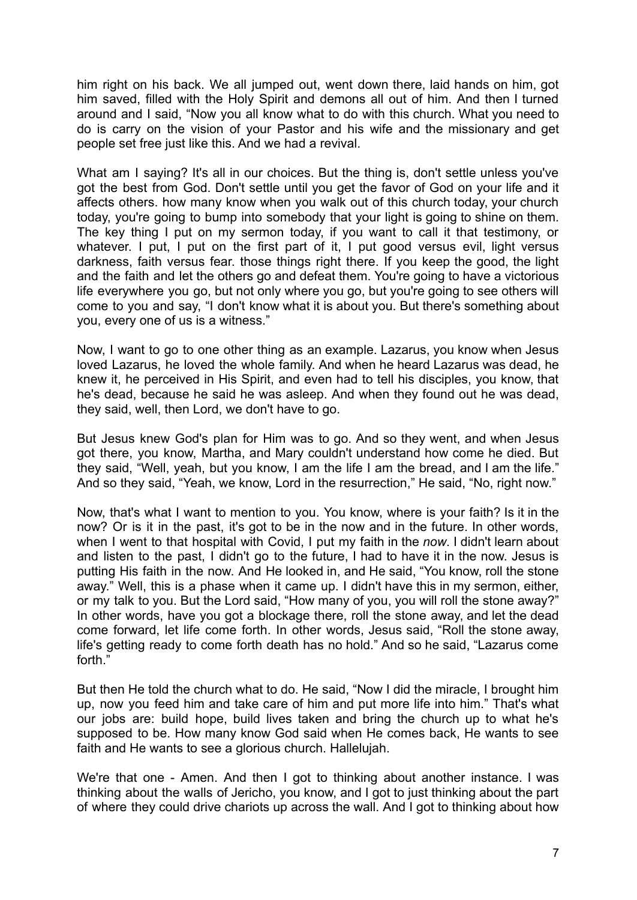him right on his back. We all jumped out, went down there, laid hands on him, got him saved, filled with the Holy Spirit and demons all out of him. And then I turned around and I said, "Now you all know what to do with this church. What you need to do is carry on the vision of your Pastor and his wife and the missionary and get people set free just like this. And we had a revival.

What am I saving? It's all in our choices. But the thing is, don't settle unless you've got the best from God. Don't settle until you get the favor of God on your life and it affects others. how many know when you walk out of this church today, your church today, you're going to bump into somebody that your light is going to shine on them. The key thing I put on my sermon today, if you want to call it that testimony, or whatever. I put, I put on the first part of it, I put good versus evil, light versus darkness, faith versus fear. those things right there. If you keep the good, the light and the faith and let the others go and defeat them. You're going to have a victorious life everywhere you go, but not only where you go, but you're going to see others will come to you and say, "I don't know what it is about you. But there's something about you, every one of us is a witness."

Now, I want to go to one other thing as an example. Lazarus, you know when Jesus loved Lazarus, he loved the whole family. And when he heard Lazarus was dead, he knew it, he perceived in His Spirit, and even had to tell his disciples, you know, that he's dead, because he said he was asleep. And when they found out he was dead, they said, well, then Lord, we don't have to go.

But Jesus knew God's plan for Him was to go. And so they went, and when Jesus got there, you know, Martha, and Mary couldn't understand how come he died. But they said, "Well, yeah, but you know, I am the life I am the bread, and I am the life." And so they said, "Yeah, we know, Lord in the resurrection," He said, "No, right now."

Now, that's what I want to mention to you. You know, where is your faith? Is it in the now? Or is it in the past, it's got to be in the now and in the future. In other words, when I went to that hospital with Covid, I put my faith in the *now*. I didn't learn about and listen to the past, I didn't go to the future, I had to have it in the now. Jesus is putting His faith in the now. And He looked in, and He said, "You know, roll the stone away." Well, this is a phase when it came up. I didn't have this in my sermon, either, or my talk to you. But the Lord said, "How many of you, you will roll the stone away?" In other words, have you got a blockage there, roll the stone away, and let the dead come forward, let life come forth. In other words, Jesus said, "Roll the stone away, life's getting ready to come forth death has no hold." And so he said, "Lazarus come forth."

But then He told the church what to do. He said, "Now I did the miracle, I brought him up, now you feed him and take care of him and put more life into him." That's what our jobs are: build hope, build lives taken and bring the church up to what he's supposed to be. How many know God said when He comes back, He wants to see faith and He wants to see a glorious church. Hallelujah.

We're that one - Amen. And then I got to thinking about another instance. I was thinking about the walls of Jericho, you know, and I got to just thinking about the part of where they could drive chariots up across the wall. And I got to thinking about how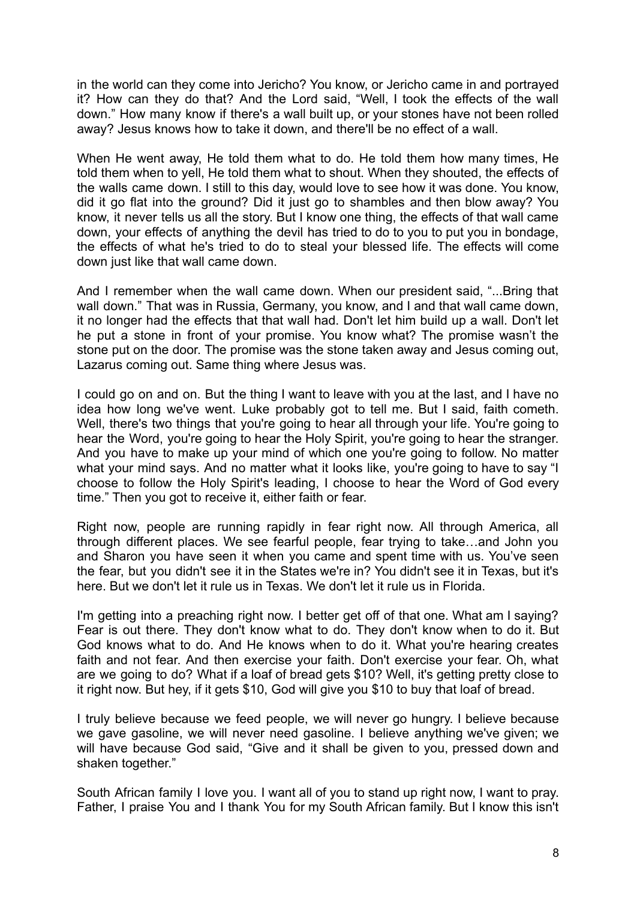in the world can they come into Jericho? You know, or Jericho came in and portrayed it? How can they do that? And the Lord said, "Well, I took the effects of the wall down." How many know if there's a wall built up, or your stones have not been rolled away? Jesus knows how to take it down, and there'll be no effect of a wall.

When He went away, He told them what to do. He told them how many times, He told them when to yell, He told them what to shout. When they shouted, the effects of the walls came down. I still to this day, would love to see how it was done. You know, did it go flat into the ground? Did it just go to shambles and then blow away? You know, it never tells us all the story. But I know one thing, the effects of that wall came down, your effects of anything the devil has tried to do to you to put you in bondage, the effects of what he's tried to do to steal your blessed life. The effects will come down just like that wall came down.

And I remember when the wall came down. When our president said, "...Bring that wall down." That was in Russia, Germany, you know, and I and that wall came down, it no longer had the effects that that wall had. Don't let him build up a wall. Don't let he put a stone in front of your promise. You know what? The promise wasn't the stone put on the door. The promise was the stone taken away and Jesus coming out, Lazarus coming out. Same thing where Jesus was.

I could go on and on. But the thing I want to leave with you at the last, and I have no idea how long we've went. Luke probably got to tell me. But I said, faith cometh. Well, there's two things that you're going to hear all through your life. You're going to hear the Word, you're going to hear the Holy Spirit, you're going to hear the stranger. And you have to make up your mind of which one you're going to follow. No matter what your mind says. And no matter what it looks like, you're going to have to say "I choose to follow the Holy Spirit's leading, I choose to hear the Word of God every time." Then you got to receive it, either faith or fear.

Right now, people are running rapidly in fear right now. All through America, all through different places. We see fearful people, fear trying to take…and John you and Sharon you have seen it when you came and spent time with us. You've seen the fear, but you didn't see it in the States we're in? You didn't see it in Texas, but it's here. But we don't let it rule us in Texas. We don't let it rule us in Florida.

I'm getting into a preaching right now. I better get off of that one. What am I saying? Fear is out there. They don't know what to do. They don't know when to do it. But God knows what to do. And He knows when to do it. What you're hearing creates faith and not fear. And then exercise your faith. Don't exercise your fear. Oh, what are we going to do? What if a loaf of bread gets \$10? Well, it's getting pretty close to it right now. But hey, if it gets \$10, God will give you \$10 to buy that loaf of bread.

I truly believe because we feed people, we will never go hungry. I believe because we gave gasoline, we will never need gasoline. I believe anything we've given; we will have because God said, "Give and it shall be given to you, pressed down and shaken together."

South African family I love you. I want all of you to stand up right now, I want to pray. Father, I praise You and I thank You for my South African family. But I know this isn't